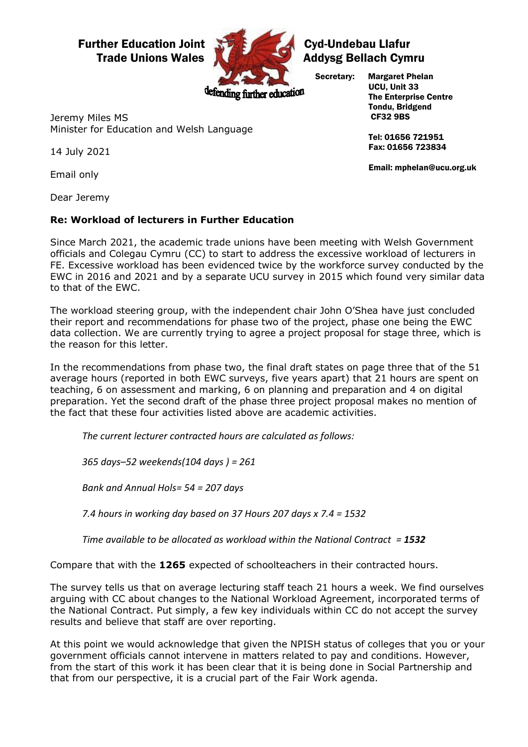## Further Education Joint Cycle A Cyd-Undebau Llafur



## Trade Unions Wales **Addysg Bellach Cymru**

Secretary: Margaret Phelan

ending further education

 UCU, Unit 33 The Enterprise Centre Tondu, Bridgend CF32 9BS

 Tel: 01656 721951 Fax: 01656 723834

Email: mphelan@ucu.org.uk

Jeremy Miles MS Minister for Education and Welsh Language

14 July 2021

Email only

Dear Jeremy

## **Re: Workload of lecturers in Further Education**

Since March 2021, the academic trade unions have been meeting with Welsh Government officials and Colegau Cymru (CC) to start to address the excessive workload of lecturers in FE. Excessive workload has been evidenced twice by the workforce survey conducted by the EWC in 2016 and 2021 and by a separate UCU survey in 2015 which found very similar data to that of the EWC.

The workload steering group, with the independent chair John O'Shea have just concluded their report and recommendations for phase two of the project, phase one being the EWC data collection. We are currently trying to agree a project proposal for stage three, which is the reason for this letter.

In the recommendations from phase two, the final draft states on page three that of the 51 average hours (reported in both EWC surveys, five years apart) that 21 hours are spent on teaching, 6 on assessment and marking, 6 on planning and preparation and 4 on digital preparation. Yet the second draft of the phase three project proposal makes no mention of the fact that these four activities listed above are academic activities.

*The current lecturer contracted hours are calculated as follows:*

*365 days–52 weekends(104 days ) = 261*

*Bank and Annual Hols= 54 = 207 days*

*7.4 hours in working day based on 37 Hours 207 days x 7.4 = 1532*

*Time available to be allocated as workload within the National Contract = 1532*

Compare that with the **1265** expected of schoolteachers in their contracted hours.

The survey tells us that on average lecturing staff teach 21 hours a week. We find ourselves arguing with CC about changes to the National Workload Agreement, incorporated terms of the National Contract. Put simply, a few key individuals within CC do not accept the survey results and believe that staff are over reporting.

At this point we would acknowledge that given the NPISH status of colleges that you or your government officials cannot intervene in matters related to pay and conditions. However, from the start of this work it has been clear that it is being done in Social Partnership and that from our perspective, it is a crucial part of the Fair Work agenda.